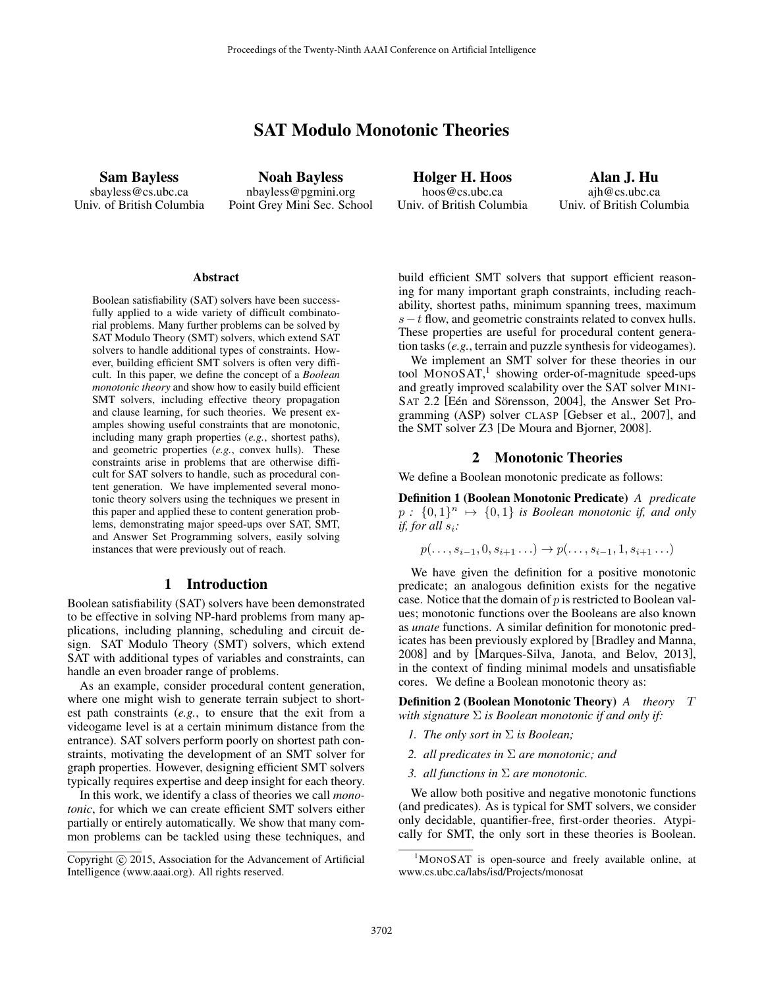# SAT Modulo Monotonic Theories

Sam Bayless sbayless@cs.ubc.ca Univ. of British Columbia

Noah Bayless nbayless@pgmini.org Point Grey Mini Sec. School

Holger H. Hoos hoos@cs.ubc.ca Univ. of British Columbia

Alan J. Hu ajh@cs.ubc.ca Univ. of British Columbia

#### **Abstract**

Boolean satisfiability (SAT) solvers have been successfully applied to a wide variety of difficult combinatorial problems. Many further problems can be solved by SAT Modulo Theory (SMT) solvers, which extend SAT solvers to handle additional types of constraints. However, building efficient SMT solvers is often very difficult. In this paper, we define the concept of a *Boolean monotonic theory* and show how to easily build efficient SMT solvers, including effective theory propagation and clause learning, for such theories. We present examples showing useful constraints that are monotonic, including many graph properties (*e.g.*, shortest paths), and geometric properties (*e.g.*, convex hulls). These constraints arise in problems that are otherwise difficult for SAT solvers to handle, such as procedural content generation. We have implemented several monotonic theory solvers using the techniques we present in this paper and applied these to content generation problems, demonstrating major speed-ups over SAT, SMT, and Answer Set Programming solvers, easily solving instances that were previously out of reach.

#### 1 Introduction

Boolean satisfiability (SAT) solvers have been demonstrated to be effective in solving NP-hard problems from many applications, including planning, scheduling and circuit design. SAT Modulo Theory (SMT) solvers, which extend SAT with additional types of variables and constraints, can handle an even broader range of problems.

As an example, consider procedural content generation, where one might wish to generate terrain subject to shortest path constraints (*e.g.*, to ensure that the exit from a videogame level is at a certain minimum distance from the entrance). SAT solvers perform poorly on shortest path constraints, motivating the development of an SMT solver for graph properties. However, designing efficient SMT solvers typically requires expertise and deep insight for each theory.

In this work, we identify a class of theories we call *monotonic*, for which we can create efficient SMT solvers either partially or entirely automatically. We show that many common problems can be tackled using these techniques, and build efficient SMT solvers that support efficient reasoning for many important graph constraints, including reachability, shortest paths, minimum spanning trees, maximum  $s-t$  flow, and geometric constraints related to convex hulls. These properties are useful for procedural content generation tasks (*e.g.*, terrain and puzzle synthesis for videogames).

We implement an SMT solver for these theories in our tool MONOSAT,<sup>1</sup> showing order-of-magnitude speed-ups and greatly improved scalability over the SAT solver MINI-SAT 2.2 [Eén and Sörensson, 2004], the Answer Set Programming (ASP) solver CLASP [Gebser et al., 2007], and the SMT solver Z3 [De Moura and Bjorner, 2008].

### 2 Monotonic Theories

We define a Boolean monotonic predicate as follows:

Definition 1 (Boolean Monotonic Predicate) *A predicate*  $p: \{0,1\}^n \mapsto \{0,1\}$  *is Boolean monotonic if, and only if, for all*  $s_i$ *:* 

$$
p(\ldots, s_{i-1}, 0, s_{i+1} \ldots) \to p(\ldots, s_{i-1}, 1, s_{i+1} \ldots)
$$

We have given the definition for a positive monotonic predicate; an analogous definition exists for the negative case. Notice that the domain of  $p$  is restricted to Boolean values; monotonic functions over the Booleans are also known as *unate* functions. A similar definition for monotonic predicates has been previously explored by [Bradley and Manna, 2008] and by [Marques-Silva, Janota, and Belov, 2013], in the context of finding minimal models and unsatisfiable cores. We define a Boolean monotonic theory as:

Definition 2 (Boolean Monotonic Theory) *A theory* T *with signature* Σ *is Boolean monotonic if and only if:*

- *1. The only sort in* Σ *is Boolean;*
- *2. all predicates in* Σ *are monotonic; and*
- *3. all functions in* Σ *are monotonic.*

We allow both positive and negative monotonic functions (and predicates). As is typical for SMT solvers, we consider only decidable, quantifier-free, first-order theories. Atypically for SMT, the only sort in these theories is Boolean.

Copyright © 2015, Association for the Advancement of Artificial Intelligence (www.aaai.org). All rights reserved.

<sup>1</sup>MONOSAT is open-source and freely available online, at www.cs.ubc.ca/labs/isd/Projects/monosat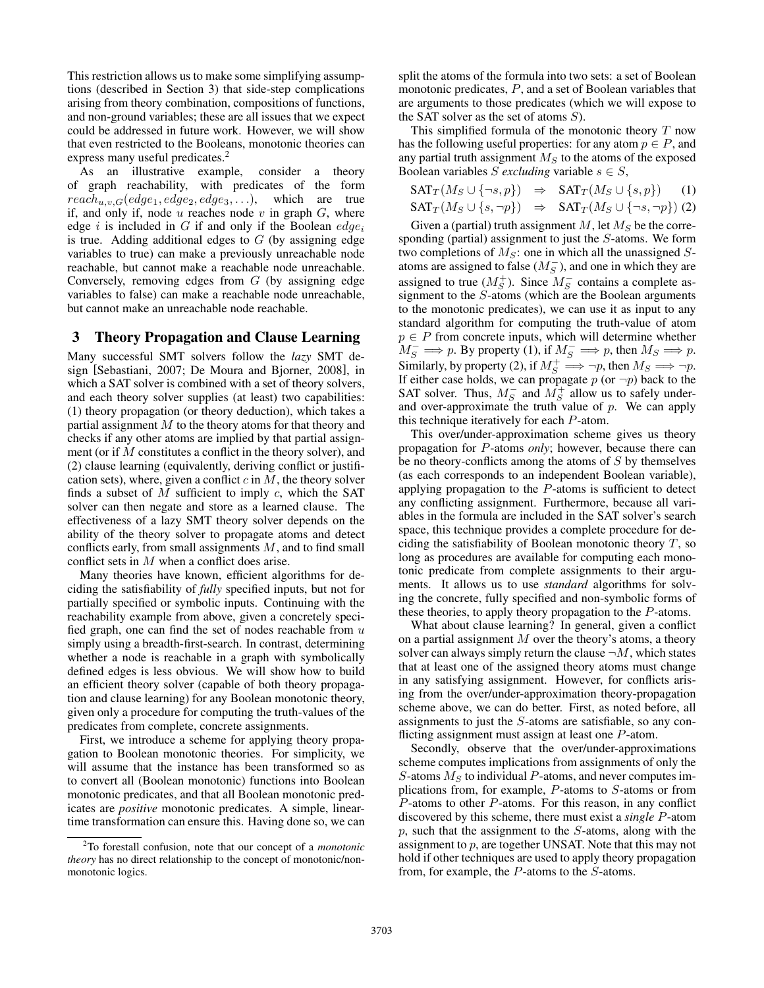This restriction allows us to make some simplifying assumptions (described in Section 3) that side-step complications arising from theory combination, compositions of functions, and non-ground variables; these are all issues that we expect could be addressed in future work. However, we will show that even restricted to the Booleans, monotonic theories can express many useful predicates.<sup>2</sup>

As an illustrative example, consider a theory of graph reachability, with predicates of the form  $reach_{u,v,G}(edge_1,edge_2,edge_3, \ldots),$  which are true if, and only if, node  $u$  reaches node  $v$  in graph  $G$ , where edge i is included in G if and only if the Boolean  $edge_i$ is true. Adding additional edges to  $G$  (by assigning edge variables to true) can make a previously unreachable node reachable, but cannot make a reachable node unreachable. Conversely, removing edges from  $G$  (by assigning edge variables to false) can make a reachable node unreachable, but cannot make an unreachable node reachable.

## 3 Theory Propagation and Clause Learning

Many successful SMT solvers follow the *lazy* SMT design [Sebastiani, 2007; De Moura and Bjorner, 2008], in which a SAT solver is combined with a set of theory solvers, and each theory solver supplies (at least) two capabilities: (1) theory propagation (or theory deduction), which takes a partial assignment  $M$  to the theory atoms for that theory and checks if any other atoms are implied by that partial assignment (or if M constitutes a conflict in the theory solver), and (2) clause learning (equivalently, deriving conflict or justification sets), where, given a conflict  $c$  in  $M$ , the theory solver finds a subset of  $M$  sufficient to imply  $c$ , which the SAT solver can then negate and store as a learned clause. The effectiveness of a lazy SMT theory solver depends on the ability of the theory solver to propagate atoms and detect conflicts early, from small assignments  $M$ , and to find small conflict sets in M when a conflict does arise.

Many theories have known, efficient algorithms for deciding the satisfiability of *fully* specified inputs, but not for partially specified or symbolic inputs. Continuing with the reachability example from above, given a concretely specified graph, one can find the set of nodes reachable from  $u$ simply using a breadth-first-search. In contrast, determining whether a node is reachable in a graph with symbolically defined edges is less obvious. We will show how to build an efficient theory solver (capable of both theory propagation and clause learning) for any Boolean monotonic theory, given only a procedure for computing the truth-values of the predicates from complete, concrete assignments.

First, we introduce a scheme for applying theory propagation to Boolean monotonic theories. For simplicity, we will assume that the instance has been transformed so as to convert all (Boolean monotonic) functions into Boolean monotonic predicates, and that all Boolean monotonic predicates are *positive* monotonic predicates. A simple, lineartime transformation can ensure this. Having done so, we can

split the atoms of the formula into two sets: a set of Boolean monotonic predicates, P, and a set of Boolean variables that are arguments to those predicates (which we will expose to the SAT solver as the set of atoms  $S$ ).

This simplified formula of the monotonic theory  $T$  now has the following useful properties: for any atom  $p \in P$ , and any partial truth assignment  $M<sub>S</sub>$  to the atoms of the exposed Boolean variables S excluding variable  $s \in S$ ,

$$
SAT_T(M_S \cup \{\neg s, p\}) \Rightarrow SAT_T(M_S \cup \{s, p\}) \quad (1)
$$
  

$$
SAT_T(M_S \cup \{s, \neg p\}) \Rightarrow SAT_T(M_S \cup \{\neg s, \neg p\}) \quad (2)
$$

Given a (partial) truth assignment  $M$ , let  $M_S$  be the corresponding (partial) assignment to just the S-atoms. We form two completions of  $M<sub>S</sub>$ : one in which all the unassigned Satoms are assigned to false ( $M_S^-$ ), and one in which they are assigned to true  $(M_S^+)$ . Since  $M_S^-$  contains a complete assignment to the S-atoms (which are the Boolean arguments to the monotonic predicates), we can use it as input to any standard algorithm for computing the truth-value of atom  $p \in P$  from concrete inputs, which will determine whether  $M_S^- \Longrightarrow p$ . By property (1), if  $M_S^- \Longrightarrow p$ , then  $M_S \Longrightarrow p$ . Similarly, by property (2), if  $M_S^+ \Longrightarrow \neg p$ , then  $M_S \Longrightarrow \neg p$ . If either case holds, we can propagate  $p$  (or  $\neg p$ ) back to the SAT solver. Thus,  $M_S^-$  and  $M_S^+$  allow us to safely underand over-approximate the truth value of  $p$ . We can apply this technique iteratively for each P-atom.

This over/under-approximation scheme gives us theory propagation for P-atoms *only*; however, because there can be no theory-conflicts among the atoms of  $S$  by themselves (as each corresponds to an independent Boolean variable), applying propagation to the P-atoms is sufficient to detect any conflicting assignment. Furthermore, because all variables in the formula are included in the SAT solver's search space, this technique provides a complete procedure for deciding the satisfiability of Boolean monotonic theory  $T$ , so long as procedures are available for computing each monotonic predicate from complete assignments to their arguments. It allows us to use *standard* algorithms for solving the concrete, fully specified and non-symbolic forms of these theories, to apply theory propagation to the P-atoms.

What about clause learning? In general, given a conflict on a partial assignment  $M$  over the theory's atoms, a theory solver can always simply return the clause  $\neg M$ , which states that at least one of the assigned theory atoms must change in any satisfying assignment. However, for conflicts arising from the over/under-approximation theory-propagation scheme above, we can do better. First, as noted before, all assignments to just the S-atoms are satisfiable, so any conflicting assignment must assign at least one P-atom.

Secondly, observe that the over/under-approximations scheme computes implications from assignments of only the S-atoms  $M<sub>S</sub>$  to individual P-atoms, and never computes implications from, for example, P-atoms to S-atoms or from P-atoms to other P-atoms. For this reason, in any conflict discovered by this scheme, there must exist a *single* P-atom  $p$ , such that the assignment to the  $S$ -atoms, along with the assignment to p, are together UNSAT. Note that this may not hold if other techniques are used to apply theory propagation from, for example, the P-atoms to the S-atoms.

<sup>2</sup>To forestall confusion, note that our concept of a *monotonic theory* has no direct relationship to the concept of monotonic/nonmonotonic logics.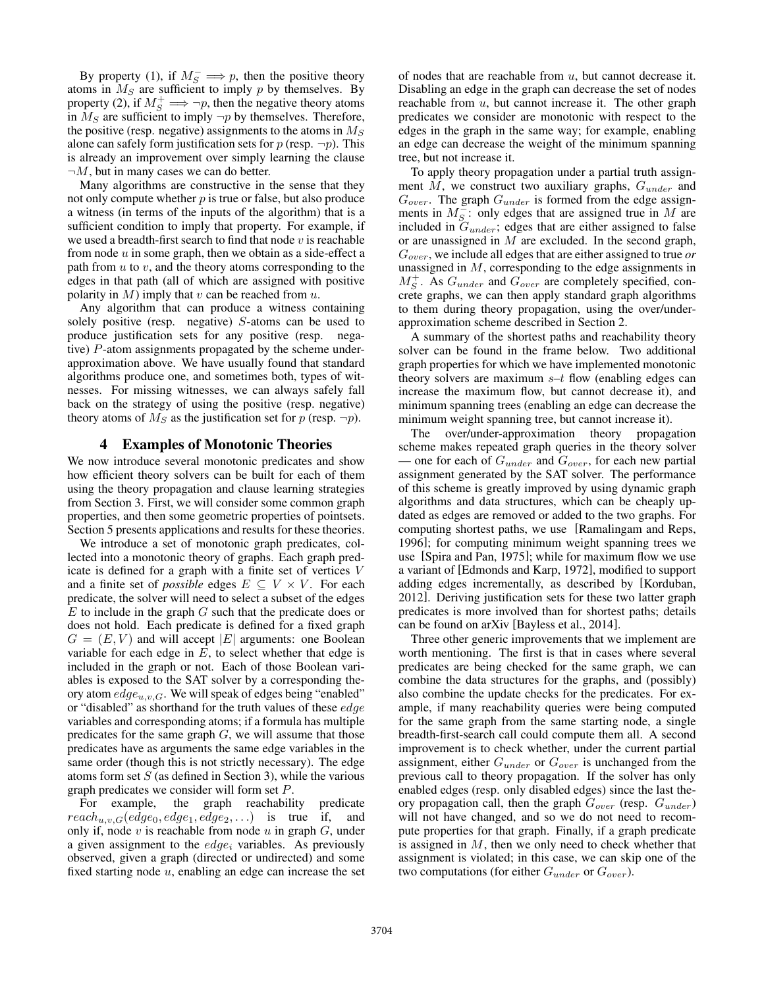By property (1), if  $M_S^- \implies p$ , then the positive theory atoms in  $M<sub>S</sub>$  are sufficient to imply p by themselves. By property (2), if  $M_S^+ \implies \neg p$ , then the negative theory atoms in  $M<sub>S</sub>$  are sufficient to imply  $\neg p$  by themselves. Therefore, the positive (resp. negative) assignments to the atoms in  $M<sub>S</sub>$ alone can safely form justification sets for  $p$  (resp.  $\neg p$ ). This is already an improvement over simply learning the clause  $\neg M$ , but in many cases we can do better.

Many algorithms are constructive in the sense that they not only compute whether  $p$  is true or false, but also produce a witness (in terms of the inputs of the algorithm) that is a sufficient condition to imply that property. For example, if we used a breadth-first search to find that node  $v$  is reachable from node  $u$  in some graph, then we obtain as a side-effect a path from  $u$  to  $v$ , and the theory atoms corresponding to the edges in that path (all of which are assigned with positive polarity in  $M$ ) imply that  $v$  can be reached from  $u$ .

Any algorithm that can produce a witness containing solely positive (resp. negative) S-atoms can be used to produce justification sets for any positive (resp. negative) P-atom assignments propagated by the scheme underapproximation above. We have usually found that standard algorithms produce one, and sometimes both, types of witnesses. For missing witnesses, we can always safely fall back on the strategy of using the positive (resp. negative) theory atoms of  $M<sub>S</sub>$  as the justification set for p (resp.  $\neg p$ ).

### 4 Examples of Monotonic Theories

We now introduce several monotonic predicates and show how efficient theory solvers can be built for each of them using the theory propagation and clause learning strategies from Section 3. First, we will consider some common graph properties, and then some geometric properties of pointsets. Section 5 presents applications and results for these theories.

We introduce a set of monotonic graph predicates, collected into a monotonic theory of graphs. Each graph predicate is defined for a graph with a finite set of vertices V and a finite set of *possible* edges  $E \subseteq V \times V$ . For each predicate, the solver will need to select a subset of the edges  $E$  to include in the graph  $G$  such that the predicate does or does not hold. Each predicate is defined for a fixed graph  $G = (E, V)$  and will accept |E| arguments: one Boolean variable for each edge in  $E$ , to select whether that edge is included in the graph or not. Each of those Boolean variables is exposed to the SAT solver by a corresponding theory atom  $edge_{u.v.G.}$  We will speak of edges being "enabled" or "disabled" as shorthand for the truth values of these edge variables and corresponding atoms; if a formula has multiple predicates for the same graph  $G$ , we will assume that those predicates have as arguments the same edge variables in the same order (though this is not strictly necessary). The edge atoms form set  $S$  (as defined in Section 3), while the various graph predicates we consider will form set P.

For example, the graph reachability predicate  $reach_{u,v,G}(edge_0,edge_1,edge_2,...)$  is true if, and only if, node  $v$  is reachable from node  $u$  in graph  $G$ , under a given assignment to the  $edge_i$  variables. As previously observed, given a graph (directed or undirected) and some fixed starting node  $u$ , enabling an edge can increase the set of nodes that are reachable from  $u$ , but cannot decrease it. Disabling an edge in the graph can decrease the set of nodes reachable from  $u$ , but cannot increase it. The other graph predicates we consider are monotonic with respect to the edges in the graph in the same way; for example, enabling an edge can decrease the weight of the minimum spanning tree, but not increase it.

To apply theory propagation under a partial truth assignment  $M$ , we construct two auxiliary graphs,  $G_{under}$  and  $G_{over}$ . The graph  $G_{under}$  is formed from the edge assignments in  $M_S^-$ : only edges that are assigned true in M are included in  $G_{under}$ ; edges that are either assigned to false or are unassigned in  $M$  are excluded. In the second graph, Gover, we include all edges that are either assigned to true *or* unassigned in M, corresponding to the edge assignments in  $M_S^+$ . As  $G_{under}$  and  $G_{over}$  are completely specified, concrete graphs, we can then apply standard graph algorithms to them during theory propagation, using the over/underapproximation scheme described in Section 2.

A summary of the shortest paths and reachability theory solver can be found in the frame below. Two additional graph properties for which we have implemented monotonic theory solvers are maximum  $s-t$  flow (enabling edges can increase the maximum flow, but cannot decrease it), and minimum spanning trees (enabling an edge can decrease the minimum weight spanning tree, but cannot increase it).

The over/under-approximation theory propagation scheme makes repeated graph queries in the theory solver — one for each of  $G_{under}$  and  $G_{over}$ , for each new partial assignment generated by the SAT solver. The performance of this scheme is greatly improved by using dynamic graph algorithms and data structures, which can be cheaply updated as edges are removed or added to the two graphs. For computing shortest paths, we use [Ramalingam and Reps, 1996]; for computing minimum weight spanning trees we use [Spira and Pan, 1975]; while for maximum flow we use a variant of [Edmonds and Karp, 1972], modified to support adding edges incrementally, as described by [Korduban, 2012]. Deriving justification sets for these two latter graph predicates is more involved than for shortest paths; details can be found on arXiv [Bayless et al., 2014].

Three other generic improvements that we implement are worth mentioning. The first is that in cases where several predicates are being checked for the same graph, we can combine the data structures for the graphs, and (possibly) also combine the update checks for the predicates. For example, if many reachability queries were being computed for the same graph from the same starting node, a single breadth-first-search call could compute them all. A second improvement is to check whether, under the current partial assignment, either  $G_{under}$  or  $G_{over}$  is unchanged from the previous call to theory propagation. If the solver has only enabled edges (resp. only disabled edges) since the last theory propagation call, then the graph  $G_{over}$  (resp.  $G_{under}$ ) will not have changed, and so we do not need to recompute properties for that graph. Finally, if a graph predicate is assigned in  $M$ , then we only need to check whether that assignment is violated; in this case, we can skip one of the two computations (for either  $G_{under}$  or  $G_{over}$ ).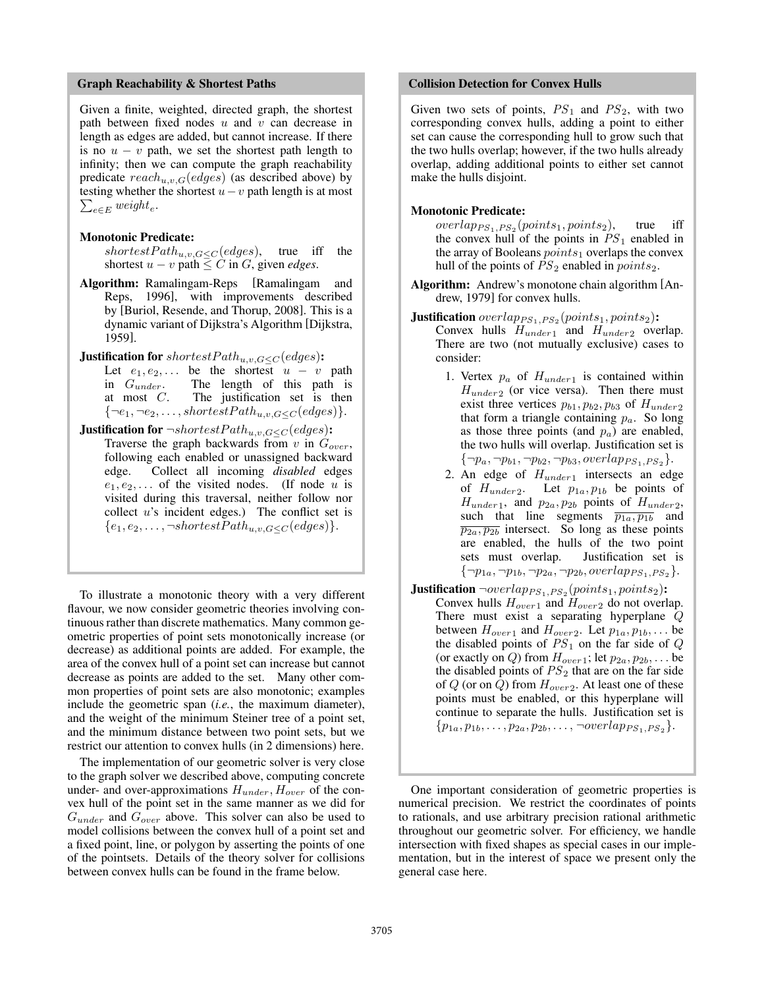#### Graph Reachability & Shortest Paths

Given a finite, weighted, directed graph, the shortest path between fixed nodes  $u$  and  $v$  can decrease in length as edges are added, but cannot increase. If there is no  $u - v$  path, we set the shortest path length to infinity; then we can compute the graph reachability predicate  $reach_{u,v,G}(edges)$  (as described above) by testing whether the shortest  $u - v$  path length is at most  $\sum_{e \in E} weight_e.$ 

#### Monotonic Predicate:

shortest $Path_{u,v,G \leq C} (edges)$ , true iff the shortest  $u - v$  path  $\leq C$  in G, given *edges*.

- Algorithm: Ramalingam-Reps [Ramalingam and Reps, 1996], with improvements described by [Buriol, Resende, and Thorup, 2008]. This is a dynamic variant of Dijkstra's Algorithm [Dijkstra, 1959].
- **Justification for** shortestPath<sub>u,v,G</sub> <  $C$  (edges):
	- Let  $e_1, e_2, \ldots$  be the shortest  $u v$  path in  $G_{under}$ . The length of this path is at most  $C$ . The justification set is then  $\{\neg e_1, \neg e_2, \ldots, \text{shortestPath}_{u,v,G \leq C}(\text{edges})\}.$
- **Justification for**  $\neg shortestPath_{u,v,G \leq C}(edges)$ : Traverse the graph backwards from  $v$  in  $G_{over}$ ,

following each enabled or unassigned backward edge. Collect all incoming *disabled* edges  $e_1, e_2, \ldots$  of the visited nodes. (If node u is visited during this traversal, neither follow nor collect  $u$ 's incident edges.) The conflict set is  ${e_1, e_2, \ldots, \neg shortestPath_{u,v,G \leq C}(edges)}.$ 

To illustrate a monotonic theory with a very different flavour, we now consider geometric theories involving continuous rather than discrete mathematics. Many common geometric properties of point sets monotonically increase (or decrease) as additional points are added. For example, the area of the convex hull of a point set can increase but cannot decrease as points are added to the set. Many other common properties of point sets are also monotonic; examples include the geometric span (*i.e.*, the maximum diameter), and the weight of the minimum Steiner tree of a point set, and the minimum distance between two point sets, but we restrict our attention to convex hulls (in 2 dimensions) here.

The implementation of our geometric solver is very close to the graph solver we described above, computing concrete under- and over-approximations  $H_{under}$ ,  $H_{over}$  of the convex hull of the point set in the same manner as we did for  $G_{under}$  and  $G_{over}$  above. This solver can also be used to model collisions between the convex hull of a point set and a fixed point, line, or polygon by asserting the points of one of the pointsets. Details of the theory solver for collisions between convex hulls can be found in the frame below.

#### Collision Detection for Convex Hulls

Given two sets of points,  $PS_1$  and  $PS_2$ , with two corresponding convex hulls, adding a point to either set can cause the corresponding hull to grow such that the two hulls overlap; however, if the two hulls already overlap, adding additional points to either set cannot make the hulls disjoint.

#### Monotonic Predicate:

 $overlapping_{1,PS_2}(points_1, points_2)$ , true iff the convex hull of the points in  $PS_1$  enabled in the array of Booleans  $points_1$  overlaps the convex hull of the points of  $PS_2$  enabled in  $points_2$ .

- Algorithm: Andrew's monotone chain algorithm [Andrew, 1979] for convex hulls.
- **Justification**  $overlap_{PS_1,PS_2}(points_1, points_2)$ : Convex hulls  $H_{under1}$  and  $H_{under2}$  overlap.

There are two (not mutually exclusive) cases to consider:

- 1. Vertex  $p_a$  of  $H_{under 1}$  is contained within  $H_{under2}$  (or vice versa). Then there must exist three vertices  $p_{b1}, p_{b2}, p_{b3}$  of  $H_{under2}$ that form a triangle containing  $p_a$ . So long as those three points (and  $p_a$ ) are enabled, the two hulls will overlap. Justification set is  ${\{\neg p_a, \neg p_{b1}, \neg p_{b2}, \neg p_{b3}, overlap_{PS_1,PS_2}\}.$
- 2. An edge of  $H_{under1}$  intersects an edge of  $H_{under2}$ . Let  $p_{1a}$ ,  $p_{1b}$  be points of  $H_{under1}$ , and  $p_{2a}$ ,  $p_{2b}$  points of  $H_{under2}$ , such that line segments  $\overline{p_{1a}, p_{1b}}$  and  $\overline{p_{2a}, p_{2b}}$  intersect. So long as these points are enabled, the hulls of the two point sets must overlap. Justification set is  ${\{\neg p_{1a}, \neg p_{1b}, \neg p_{2a}, \neg p_{2b}, overlap_{PS_1,PS_2}\}.$
- **Justification**  $\neg overlap_{PS_1,PS_2}(points_1, points_2)$ : Convex hulls  $H_{over1}$  and  $H_{over2}$  do not overlap. There must exist a separating hyperplane Q between  $H_{over1}$  and  $H_{over2}$ . Let  $p_{1a}, p_{1b}, \ldots$  be the disabled points of  $PS_1$  on the far side of  $Q$ (or exactly on *Q*) from  $H_{over1}$ ; let  $p_{2a}, p_{2b}, \ldots$  be the disabled points of  $PS<sub>2</sub>$  that are on the far side of  $Q$  (or on  $Q$ ) from  $H_{over2}$ . At least one of these points must be enabled, or this hyperplane will continue to separate the hulls. Justification set is  $\{p_{1a}, p_{1b}, \ldots, p_{2a}, p_{2b}, \ldots, \neg overlap_{PS_1,PS_2}\}.$

One important consideration of geometric properties is numerical precision. We restrict the coordinates of points to rationals, and use arbitrary precision rational arithmetic throughout our geometric solver. For efficiency, we handle intersection with fixed shapes as special cases in our implementation, but in the interest of space we present only the general case here.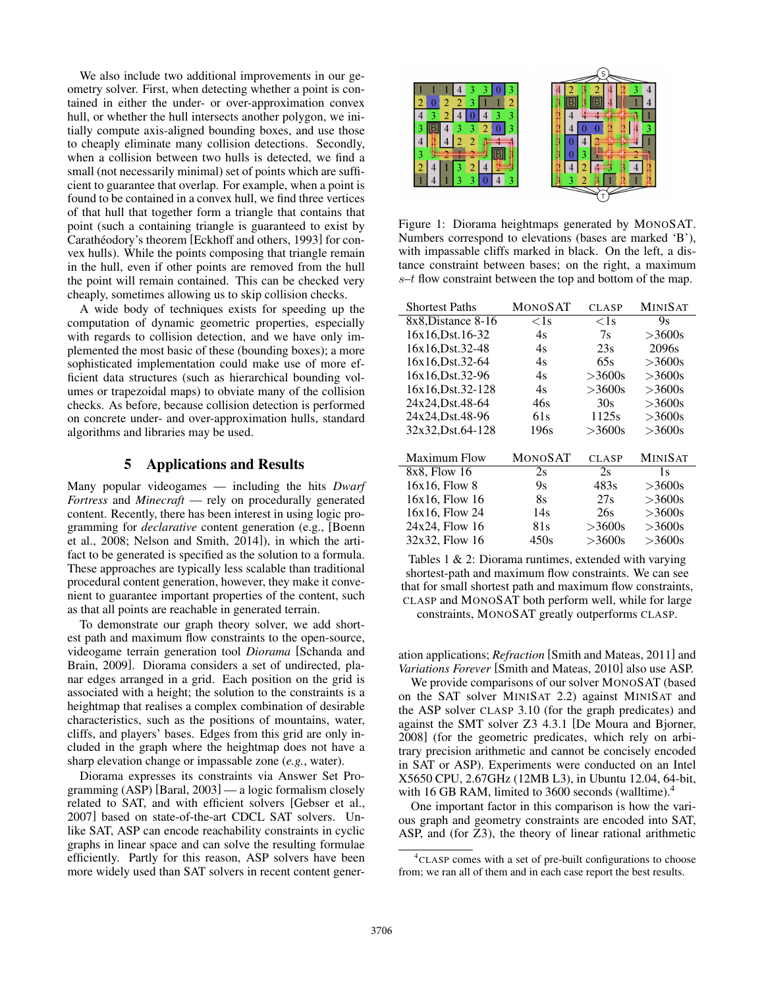We also include two additional improvements in our geometry solver. First, when detecting whether a point is contained in either the under- or over-approximation convex hull, or whether the hull intersects another polygon, we initially compute axis-aligned bounding boxes, and use those to cheaply eliminate many collision detections. Secondly, when a collision between two hulls is detected, we find a small (not necessarily minimal) set of points which are sufficient to guarantee that overlap. For example, when a point is found to be contained in a convex hull, we find three vertices of that hull that together form a triangle that contains that point (such a containing triangle is guaranteed to exist by Carathéodory's theorem [Eckhoff and others, 1993] for convex hulls). While the points composing that triangle remain in the hull, even if other points are removed from the hull the point will remain contained. This can be checked very cheaply, sometimes allowing us to skip collision checks.

A wide body of techniques exists for speeding up the computation of dynamic geometric properties, especially with regards to collision detection, and we have only implemented the most basic of these (bounding boxes); a more sophisticated implementation could make use of more efficient data structures (such as hierarchical bounding volumes or trapezoidal maps) to obviate many of the collision checks. As before, because collision detection is performed on concrete under- and over-approximation hulls, standard algorithms and libraries may be used.

### 5 Applications and Results

Many popular videogames — including the hits *Dwarf Fortress* and *Minecraft* — rely on procedurally generated content. Recently, there has been interest in using logic programming for *declarative* content generation (e.g., [Boenn et al., 2008; Nelson and Smith, 2014]), in which the artifact to be generated is specified as the solution to a formula. These approaches are typically less scalable than traditional procedural content generation, however, they make it convenient to guarantee important properties of the content, such as that all points are reachable in generated terrain.

To demonstrate our graph theory solver, we add shortest path and maximum flow constraints to the open-source, videogame terrain generation tool *Diorama* [Schanda and Brain, 2009]. Diorama considers a set of undirected, planar edges arranged in a grid. Each position on the grid is associated with a height; the solution to the constraints is a heightmap that realises a complex combination of desirable characteristics, such as the positions of mountains, water, cliffs, and players' bases. Edges from this grid are only included in the graph where the heightmap does not have a sharp elevation change or impassable zone (*e.g.*, water).

Diorama expresses its constraints via Answer Set Programming (ASP) [Baral, 2003] — a logic formalism closely related to SAT, and with efficient solvers [Gebser et al., 2007] based on state-of-the-art CDCL SAT solvers. Unlike SAT, ASP can encode reachability constraints in cyclic graphs in linear space and can solve the resulting formulae efficiently. Partly for this reason, ASP solvers have been more widely used than SAT solvers in recent content gener-



Figure 1: Diorama heightmaps generated by MONOSAT. Numbers correspond to elevations (bases are marked 'B'), with impassable cliffs marked in black. On the left, a distance constraint between bases; on the right, a maximum  $s-t$  flow constraint between the top and bottom of the map.

| <b>Shortest Paths</b> | MONOSAT        | <b>CLASP</b> | <b>MINISAT</b> |
|-----------------------|----------------|--------------|----------------|
| 8x8, Distance 8-16    | $<$ 1s         | $<$ 1s       | 9s             |
| 16x16.Dst.16-32       | 4s             | 7s           | >3600s         |
| 16x16.Dst.32-48       | 4s             | 23s          | 2096s          |
| 16x16.Dst.32-64       | 4s             | 65s          | >3600s         |
| 16x16.Dst.32-96       | 4s             | >3600s       | >3600s         |
| 16x16, Dst. 32-128    | 4s             | >3600s       | >3600s         |
| 24x24, Dst. 48-64     | 46s            | 30s          | $>3600s$       |
| 24x24, Dst. 48-96     | 61s            | 1125s        | >3600s         |
| 32x32, Dst. 64-128    | 196s           | >3600s       | >3600s         |
|                       |                |              |                |
| <b>Maximum Flow</b>   | <b>MONOSAT</b> | <b>CLASP</b> | <b>MINISAT</b> |
| 8x8, Flow 16          | 2s             | 2s           | 1s             |
| 16x16. Flow 8         | 9s             | 483s         | >3600s         |
| 16x16. Flow 16        | 8s             | 27s          | $>3600s$       |
| 16x16, Flow 24        | 14s            | 26s          | $>3600s$       |
| 24x24, Flow 16        | 81s            | >3600s       | >3600s         |
| 32x32, Flow 16        | 450s           | $>3600s$     | >3600s         |

Tables 1 & 2: Diorama runtimes, extended with varying shortest-path and maximum flow constraints. We can see that for small shortest path and maximum flow constraints, CLASP and MONOSAT both perform well, while for large constraints, MONOSAT greatly outperforms CLASP.

ation applications; *Refraction* [Smith and Mateas, 2011] and *Variations Forever* [Smith and Mateas, 2010] also use ASP.

We provide comparisons of our solver MONOSAT (based on the SAT solver MINISAT 2.2) against MINISAT and the ASP solver CLASP 3.10 (for the graph predicates) and against the SMT solver Z3 4.3.1 [De Moura and Bjorner, 2008] (for the geometric predicates, which rely on arbitrary precision arithmetic and cannot be concisely encoded in SAT or ASP). Experiments were conducted on an Intel X5650 CPU, 2.67GHz (12MB L3), in Ubuntu 12.04, 64-bit, with 16 GB RAM, limited to 3600 seconds (wall time). $4$ 

One important factor in this comparison is how the various graph and geometry constraints are encoded into SAT, ASP, and (for Z3), the theory of linear rational arithmetic

<sup>4</sup> CLASP comes with a set of pre-built configurations to choose from; we ran all of them and in each case report the best results.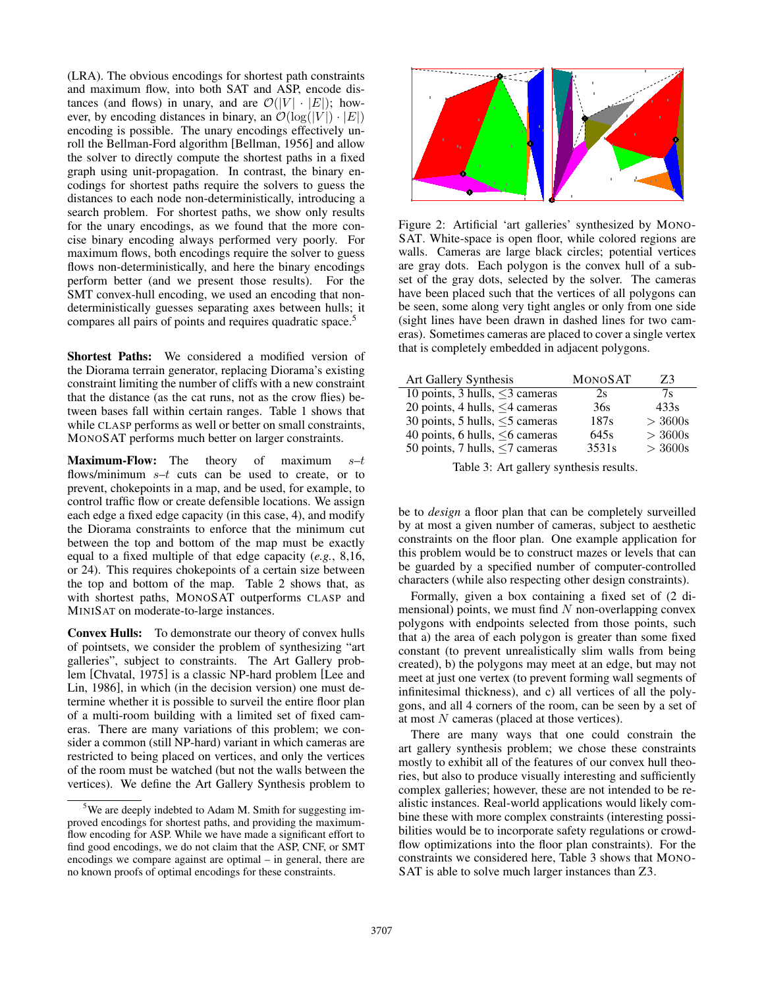(LRA). The obvious encodings for shortest path constraints and maximum flow, into both SAT and ASP, encode distances (and flows) in unary, and are  $\mathcal{O}(|V| \cdot |E|)$ ; however, by encoding distances in binary, an  $\mathcal{O}(\log(|V|) \cdot |E|)$ encoding is possible. The unary encodings effectively unroll the Bellman-Ford algorithm [Bellman, 1956] and allow the solver to directly compute the shortest paths in a fixed graph using unit-propagation. In contrast, the binary encodings for shortest paths require the solvers to guess the distances to each node non-deterministically, introducing a search problem. For shortest paths, we show only results for the unary encodings, as we found that the more concise binary encoding always performed very poorly. For maximum flows, both encodings require the solver to guess flows non-deterministically, and here the binary encodings perform better (and we present those results). For the SMT convex-hull encoding, we used an encoding that nondeterministically guesses separating axes between hulls; it compares all pairs of points and requires quadratic space.<sup>5</sup>

Shortest Paths: We considered a modified version of the Diorama terrain generator, replacing Diorama's existing constraint limiting the number of cliffs with a new constraint that the distance (as the cat runs, not as the crow flies) between bases fall within certain ranges. Table 1 shows that while CLASP performs as well or better on small constraints, MONOSAT performs much better on larger constraints.

**Maximum-Flow:** The theory of maximum  $s-t$ flows/minimum  $s-t$  cuts can be used to create, or to prevent, chokepoints in a map, and be used, for example, to control traffic flow or create defensible locations. We assign each edge a fixed edge capacity (in this case, 4), and modify the Diorama constraints to enforce that the minimum cut between the top and bottom of the map must be exactly equal to a fixed multiple of that edge capacity (*e.g.*, 8,16, or 24). This requires chokepoints of a certain size between the top and bottom of the map. Table 2 shows that, as with shortest paths, MONOSAT outperforms CLASP and MINISAT on moderate-to-large instances.

Convex Hulls: To demonstrate our theory of convex hulls of pointsets, we consider the problem of synthesizing "art galleries", subject to constraints. The Art Gallery problem [Chvatal, 1975] is a classic NP-hard problem [Lee and Lin, 1986], in which (in the decision version) one must determine whether it is possible to surveil the entire floor plan of a multi-room building with a limited set of fixed cameras. There are many variations of this problem; we consider a common (still NP-hard) variant in which cameras are restricted to being placed on vertices, and only the vertices of the room must be watched (but not the walls between the vertices). We define the Art Gallery Synthesis problem to



Figure 2: Artificial 'art galleries' synthesized by MONO-SAT. White-space is open floor, while colored regions are walls. Cameras are large black circles; potential vertices are gray dots. Each polygon is the convex hull of a subset of the gray dots, selected by the solver. The cameras have been placed such that the vertices of all polygons can be seen, some along very tight angles or only from one side (sight lines have been drawn in dashed lines for two cameras). Sometimes cameras are placed to cover a single vertex that is completely embedded in adjacent polygons.

| Art Gallery Synthesis                | <b>MONOSAT</b> | Z3        |
|--------------------------------------|----------------|-----------|
| 10 points, 3 hulls, $\leq$ 3 cameras | 2s             | 7s        |
| 20 points, 4 hulls, $\leq$ 4 cameras | 36s            | 433s      |
| 30 points, 5 hulls, $\leq$ 5 cameras | 187s           | > 3600s   |
| 40 points, 6 hulls, $\leq$ 6 cameras | 645s           | > 3600s   |
| 50 points, 7 hulls, $\leq$ 7 cameras | 3531s          | $>$ 3600s |

Table 3: Art gallery synthesis results.

be to *design* a floor plan that can be completely surveilled by at most a given number of cameras, subject to aesthetic constraints on the floor plan. One example application for this problem would be to construct mazes or levels that can be guarded by a specified number of computer-controlled characters (while also respecting other design constraints).

Formally, given a box containing a fixed set of (2 dimensional) points, we must find  $N$  non-overlapping convex polygons with endpoints selected from those points, such that a) the area of each polygon is greater than some fixed constant (to prevent unrealistically slim walls from being created), b) the polygons may meet at an edge, but may not meet at just one vertex (to prevent forming wall segments of infinitesimal thickness), and c) all vertices of all the polygons, and all 4 corners of the room, can be seen by a set of at most  $N$  cameras (placed at those vertices).

There are many ways that one could constrain the art gallery synthesis problem; we chose these constraints mostly to exhibit all of the features of our convex hull theories, but also to produce visually interesting and sufficiently complex galleries; however, these are not intended to be realistic instances. Real-world applications would likely combine these with more complex constraints (interesting possibilities would be to incorporate safety regulations or crowdflow optimizations into the floor plan constraints). For the constraints we considered here, Table 3 shows that MONO-SAT is able to solve much larger instances than Z3.

<sup>&</sup>lt;sup>5</sup>We are deeply indebted to Adam M. Smith for suggesting improved encodings for shortest paths, and providing the maximumflow encoding for ASP. While we have made a significant effort to find good encodings, we do not claim that the ASP, CNF, or SMT encodings we compare against are optimal – in general, there are no known proofs of optimal encodings for these constraints.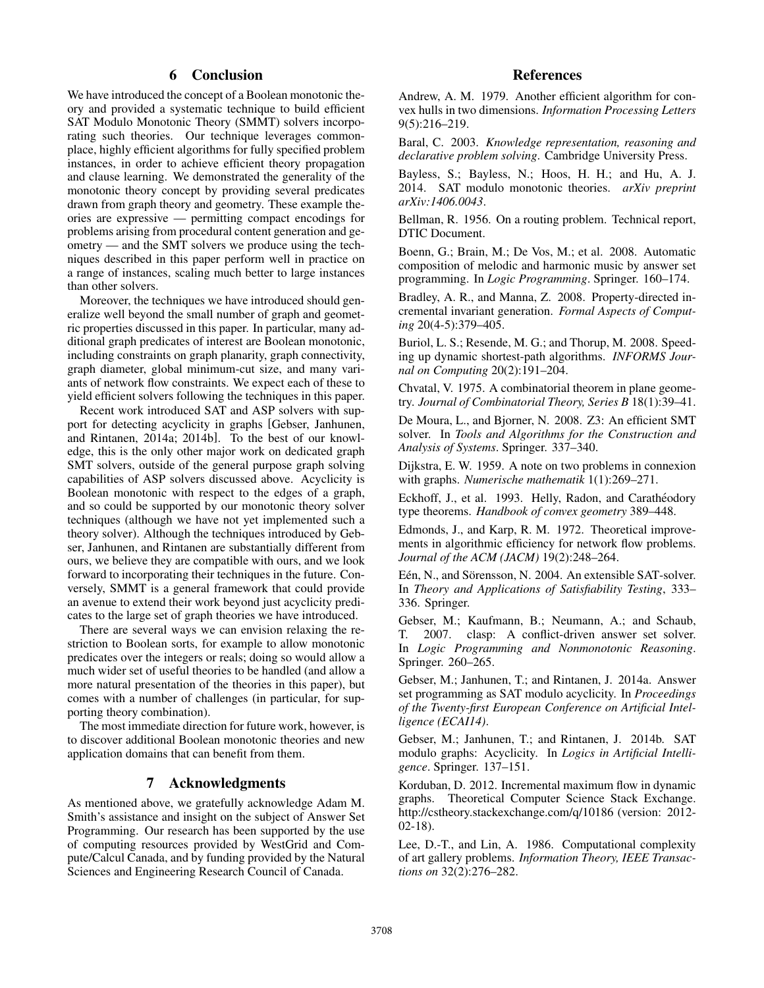# 6 Conclusion

We have introduced the concept of a Boolean monotonic theory and provided a systematic technique to build efficient SAT Modulo Monotonic Theory (SMMT) solvers incorporating such theories. Our technique leverages commonplace, highly efficient algorithms for fully specified problem instances, in order to achieve efficient theory propagation and clause learning. We demonstrated the generality of the monotonic theory concept by providing several predicates drawn from graph theory and geometry. These example theories are expressive — permitting compact encodings for problems arising from procedural content generation and geometry — and the SMT solvers we produce using the techniques described in this paper perform well in practice on a range of instances, scaling much better to large instances than other solvers.

Moreover, the techniques we have introduced should generalize well beyond the small number of graph and geometric properties discussed in this paper. In particular, many additional graph predicates of interest are Boolean monotonic, including constraints on graph planarity, graph connectivity, graph diameter, global minimum-cut size, and many variants of network flow constraints. We expect each of these to yield efficient solvers following the techniques in this paper.

Recent work introduced SAT and ASP solvers with support for detecting acyclicity in graphs [Gebser, Janhunen, and Rintanen, 2014a; 2014b]. To the best of our knowledge, this is the only other major work on dedicated graph SMT solvers, outside of the general purpose graph solving capabilities of ASP solvers discussed above. Acyclicity is Boolean monotonic with respect to the edges of a graph, and so could be supported by our monotonic theory solver techniques (although we have not yet implemented such a theory solver). Although the techniques introduced by Gebser, Janhunen, and Rintanen are substantially different from ours, we believe they are compatible with ours, and we look forward to incorporating their techniques in the future. Conversely, SMMT is a general framework that could provide an avenue to extend their work beyond just acyclicity predicates to the large set of graph theories we have introduced.

There are several ways we can envision relaxing the restriction to Boolean sorts, for example to allow monotonic predicates over the integers or reals; doing so would allow a much wider set of useful theories to be handled (and allow a more natural presentation of the theories in this paper), but comes with a number of challenges (in particular, for supporting theory combination).

The most immediate direction for future work, however, is to discover additional Boolean monotonic theories and new application domains that can benefit from them.

# 7 Acknowledgments

As mentioned above, we gratefully acknowledge Adam M. Smith's assistance and insight on the subject of Answer Set Programming. Our research has been supported by the use of computing resources provided by WestGrid and Compute/Calcul Canada, and by funding provided by the Natural Sciences and Engineering Research Council of Canada.

# References

Andrew, A. M. 1979. Another efficient algorithm for convex hulls in two dimensions. *Information Processing Letters* 9(5):216–219.

Baral, C. 2003. *Knowledge representation, reasoning and declarative problem solving*. Cambridge University Press.

Bayless, S.; Bayless, N.; Hoos, H. H.; and Hu, A. J. 2014. SAT modulo monotonic theories. *arXiv preprint arXiv:1406.0043*.

Bellman, R. 1956. On a routing problem. Technical report, DTIC Document.

Boenn, G.; Brain, M.; De Vos, M.; et al. 2008. Automatic composition of melodic and harmonic music by answer set programming. In *Logic Programming*. Springer. 160–174.

Bradley, A. R., and Manna, Z. 2008. Property-directed incremental invariant generation. *Formal Aspects of Computing* 20(4-5):379–405.

Buriol, L. S.; Resende, M. G.; and Thorup, M. 2008. Speeding up dynamic shortest-path algorithms. *INFORMS Journal on Computing* 20(2):191–204.

Chvatal, V. 1975. A combinatorial theorem in plane geometry. *Journal of Combinatorial Theory, Series B* 18(1):39–41.

De Moura, L., and Bjorner, N. 2008. Z3: An efficient SMT solver. In *Tools and Algorithms for the Construction and Analysis of Systems*. Springer. 337–340.

Dijkstra, E. W. 1959. A note on two problems in connexion with graphs. *Numerische mathematik* 1(1):269–271.

Eckhoff, J., et al. 1993. Helly, Radon, and Carathéodory type theorems. *Handbook of convex geometry* 389–448.

Edmonds, J., and Karp, R. M. 1972. Theoretical improvements in algorithmic efficiency for network flow problems. *Journal of the ACM (JACM)* 19(2):248–264.

Eén, N., and Sörensson, N. 2004. An extensible SAT-solver. In *Theory and Applications of Satisfiability Testing*, 333– 336. Springer.

Gebser, M.; Kaufmann, B.; Neumann, A.; and Schaub, T. 2007. clasp: A conflict-driven answer set solver. In *Logic Programming and Nonmonotonic Reasoning*. Springer. 260–265.

Gebser, M.; Janhunen, T.; and Rintanen, J. 2014a. Answer set programming as SAT modulo acyclicity. In *Proceedings of the Twenty-first European Conference on Artificial Intelligence (ECAI14)*.

Gebser, M.; Janhunen, T.; and Rintanen, J. 2014b. SAT modulo graphs: Acyclicity. In *Logics in Artificial Intelligence*. Springer. 137–151.

Korduban, D. 2012. Incremental maximum flow in dynamic graphs. Theoretical Computer Science Stack Exchange. http://cstheory.stackexchange.com/q/10186 (version: 2012- 02-18).

Lee, D.-T., and Lin, A. 1986. Computational complexity of art gallery problems. *Information Theory, IEEE Transactions on* 32(2):276–282.